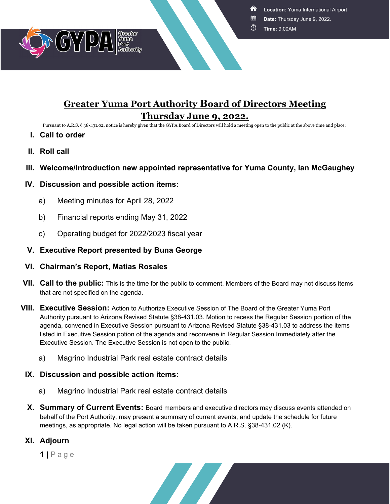**Location:** Yuma International Airport

- **Date:** Thursday June 9, 2022.
- Ō **Time:** 9:00AM



# **Greater Yuma Port Authority Board of Directors Meeting Thursday June 9, 2022.**

Pursuant to A.R.S. § 38-431.02, notice is hereby given that the GYPA Board of Directors will hold a meeting open to the public at the above time and place:

- **I. Call to order**
- **II. Roll call**
- **III. Welcome/Introduction new appointed representative for Yuma County, Ian McGaughey**

### **IV. Discussion and possible action items:**

- a) Meeting minutes for April 28, 2022
- b) Financial reports ending May 31, 2022
- c) Operating budget for 2022/2023 fiscal year
- **V. Executive Report presented by Buna George**

#### **VI. Chairman's Report, Matias Rosales**

- **VII. Call to the public:** This is the time for the public to comment. Members of the Board may not discuss items that are not specified on the agenda.
- **VIII. Executive Session:** Action to Authorize Executive Session of The Board of the Greater Yuma Port Authority pursuant to Arizona Revised Statute §38-431.03. Motion to recess the Regular Session portion of the agenda, convened in Executive Session pursuant to Arizona Revised Statute §38-431.03 to address the items listed in Executive Session potion of the agenda and reconvene in Regular Session Immediately after the Executive Session. The Executive Session is not open to the public.
	- a) Magrino Industrial Park real estate contract details

#### **IX. Discussion and possible action items:**

- a) Magrino Industrial Park real estate contract details
- **X. Summary of Current Events:** Board members and executive directors may discuss events attended on behalf of the Port Authority, may present a summary of current events, and update the schedule for future meetings, as appropriate. No legal action will be taken pursuant to A.R.S. §38-431.02 (K).

## **XI. Adjourn**

**1 |** Page